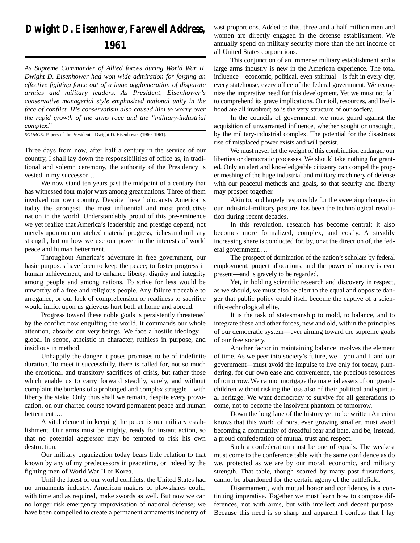## *Dwight D. Eisenhower, Farewell Address, 1961*

*As Supreme Commander of Allied forces during World War II, Dwight D. Eisenhower had won wide admiration for forging an effective fighting force out of a huge agglomeration of disparate armies and military leaders. As President, Eisenhower's conservative managerial style emphasized national unity in the face of conflict. His conservatism also caused him to worry over the rapid growth of the arms race and the "military-industrial complex."*

*SOURCE:* Papers of the Presidents: Dwight D. Eisenhower (1960–1961).

Three days from now, after half a century in the service of our country, I shall lay down the responsibilities of office as, in traditional and solemn ceremony, the authority of the Presidency is vested in my successor….

We now stand ten years past the midpoint of a century that has witnessed four major wars among great nations. Three of them involved our own country. Despite these holocausts America is today the strongest, the most influential and most productive nation in the world. Understandably proud of this pre-eminence we yet realize that America's leadership and prestige depend, not merely upon our unmatched material progress, riches and military strength, but on how we use our power in the interests of world peace and human betterment.

Throughout America's adventure in free government, our basic purposes have been to keep the peace; to foster progress in human achievement, and to enhance liberty, dignity and integrity among people and among nations. To strive for less would be unworthy of a free and religious people. Any failure traceable to arrogance, or our lack of comprehension or readiness to sacrifice would inflict upon us grievous hurt both at home and abroad.

Progress toward these noble goals is persistently threatened by the conflict now engulfing the world. It commands our whole attention, absorbs our very beings. We face a hostile ideology global in scope, atheistic in character, ruthless in purpose, and insidious in method.

Unhappily the danger it poses promises to be of indefinite duration. To meet it successfully, there is called for, not so much the emotional and transitory sacrifices of crisis, but rather those which enable us to carry forward steadily, surely, and without complaint the burdens of a prolonged and complex struggle—with liberty the stake. Only thus shall we remain, despite every provocation, on our charted course toward permanent peace and human betterment….

A vital element in keeping the peace is our military establishment. Our arms must be mighty, ready for instant action, so that no potential aggressor may be tempted to risk his own destruction.

Our military organization today bears little relation to that known by any of my predecessors in peacetime, or indeed by the fighting men of World War II or Korea.

Until the latest of our world conflicts, the United States had no armaments industry. American makers of plowshares could, with time and as required, make swords as well. But now we can no longer risk emergency improvisation of national defense; we have been compelled to create a permanent armaments industry of vast proportions. Added to this, three and a half million men and women are directly engaged in the defense establishment. We annually spend on military security more than the net income of all United States corporations.

This conjunction of an immense military establishment and a large arms industry is new in the American experience. The total influence—economic, political, even spiritual—is felt in every city, every statehouse, every office of the federal government. We recognize the imperative need for this development. Yet we must not fail to comprehend its grave implications. Our toil, resources, and livelihood are all involved; so is the very structure of our society.

In the councils of government, we must guard against the acquisition of unwarranted influence, whether sought or unsought, by the military-industrial complex. The potential for the disastrous rise of misplaced power exists and will persist.

We must never let the weight of this combination endanger our liberties or democratic processes. We should take nothing for granted. Only an alert and knowledgeable citizenry can compel the proper meshing of the huge industrial and military machinery of defense with our peaceful methods and goals, so that security and liberty may prosper together.

Akin to, and largely responsible for the sweeping changes in our industrial-military posture, has been the technological revolution during recent decades.

In this revolution, research has become central; it also becomes more formalized, complex, and costly. A steadily increasing share is conducted for, by, or at the direction of, the federal government….

The prospect of domination of the nation's scholars by federal employment, project allocations, and the power of money is ever present—and is gravely to be regarded.

Yet, in holding scientific research and discovery in respect, as we should, we must also be alert to the equal and opposite danger that public policy could itself become the captive of a scientific-technological elite.

It is the task of statesmanship to mold, to balance, and to integrate these and other forces, new and old, within the principles of our democratic system—ever aiming toward the supreme goals of our free society.

Another factor in maintaining balance involves the element of time. As we peer into society's future, we—you and I, and our government—must avoid the impulse to live only for today, plundering, for our own ease and convenience, the precious resources of tomorrow. We cannot mortgage the material assets of our grandchildren without risking the loss also of their political and spiritual heritage. We want democracy to survive for all generations to come, not to become the insolvent phantom of tomorrow.

Down the long lane of the history yet to be written America knows that this world of ours, ever growing smaller, must avoid becoming a community of dreadful fear and hate, and be, instead, a proud confederation of mutual trust and respect.

Such a confederation must be one of equals. The weakest must come to the conference table with the same confidence as do we, protected as we are by our moral, economic, and military strength. That table, though scarred by many past frustrations, cannot be abandoned for the certain agony of the battlefield.

Disarmament, with mutual honor and confidence, is a continuing imperative. Together we must learn how to compose differences, not with arms, but with intellect and decent purpose. Because this need is so sharp and apparent I confess that I lay